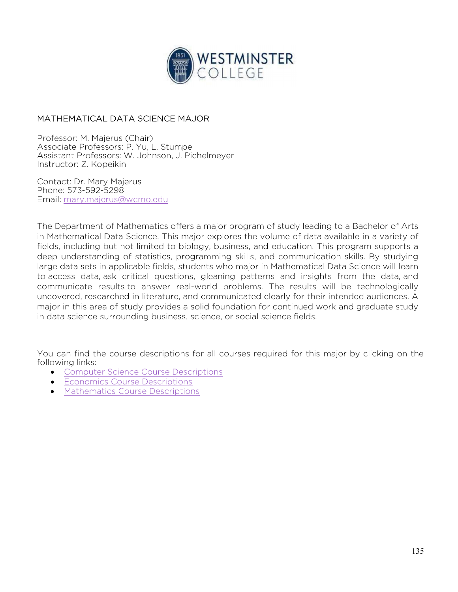

## MATHEMATICAL DATA SCIENCE MAJOR

Professor: M. Majerus (Chair) Associate Professors: P. Yu, L. Stumpe Assistant Professors: W. Johnson, J. Pichelmeyer Instructor: Z. Kopeikin

Contact: Dr. Mary Majerus Phone: 573-592-5298 Email: mary.majerus@wcmo.edu

The Department of Mathematics offers a major program of study leading to a Bachelor of Arts in Mathematical Data Science. This major explores the volume of data available in a variety of fields, including but not limited to biology, business, and education. This program supports a deep understanding of statistics, programming skills, and communication skills. By studying large data sets in applicable fields, students who major in Mathematical Data Science will learn to access data, ask critical questions, gleaning patterns and insights from the data, and communicate results to answer real-world problems. The results will be technologically uncovered, researched in literature, and communicated clearly for their intended audiences. A major in this area of study provides a solid foundation for continued work and graduate study in data science surrounding business, science, or social science fields.

You can find the course descriptions for all courses required for this major by clicking on the following links:

- Computer Science Course Descriptions
- **Economics Course Descriptions**
- Mathematics Course Descriptions